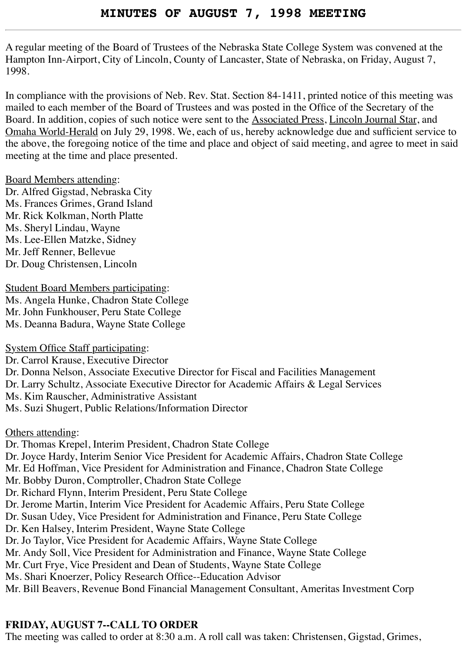A regular meeting of the Board of Trustees of the Nebraska State College System was convened at the Hampton Inn-Airport, City of Lincoln, County of Lancaster, State of Nebraska, on Friday, August 7, 1998.

In compliance with the provisions of Neb. Rev. Stat. Section 84-1411, printed notice of this meeting was mailed to each member of the Board of Trustees and was posted in the Office of the Secretary of the Board. In addition, copies of such notice were sent to the Associated Press, Lincoln Journal Star, and Omaha World-Herald on July 29, 1998. We, each of us, hereby acknowledge due and sufficient service to the above, the foregoing notice of the time and place and object of said meeting, and agree to meet in said meeting at the time and place presented.

#### Board Members attending:

Dr. Alfred Gigstad, Nebraska City Ms. Frances Grimes, Grand Island Mr. Rick Kolkman, North Platte Ms. Sheryl Lindau, Wayne Ms. Lee-Ellen Matzke, Sidney Mr. Jeff Renner, Bellevue Dr. Doug Christensen, Lincoln

Student Board Members participating: Ms. Angela Hunke, Chadron State College Mr. John Funkhouser, Peru State College Ms. Deanna Badura, Wayne State College

System Office Staff participating:

Dr. Carrol Krause, Executive Director Dr. Donna Nelson, Associate Executive Director for Fiscal and Facilities Management

Dr. Larry Schultz, Associate Executive Director for Academic Affairs & Legal Services

Ms. Kim Rauscher, Administrative Assistant

Ms. Suzi Shugert, Public Relations/Information Director

Others attending:

Dr. Thomas Krepel, Interim President, Chadron State College Dr. Joyce Hardy, Interim Senior Vice President for Academic Affairs, Chadron State College Mr. Ed Hoffman, Vice President for Administration and Finance, Chadron State College Mr. Bobby Duron, Comptroller, Chadron State College Dr. Richard Flynn, Interim President, Peru State College Dr. Jerome Martin, Interim Vice President for Academic Affairs, Peru State College Dr. Susan Udey, Vice President for Administration and Finance, Peru State College Dr. Ken Halsey, Interim President, Wayne State College Dr. Jo Taylor, Vice President for Academic Affairs, Wayne State College Mr. Andy Soll, Vice President for Administration and Finance, Wayne State College Mr. Curt Frye, Vice President and Dean of Students, Wayne State College Ms. Shari Knoerzer, Policy Research Office--Education Advisor Mr. Bill Beavers, Revenue Bond Financial Management Consultant, Ameritas Investment Corp

## **FRIDAY, AUGUST 7--CALL TO ORDER**

The meeting was called to order at 8:30 a.m. A roll call was taken: Christensen, Gigstad, Grimes,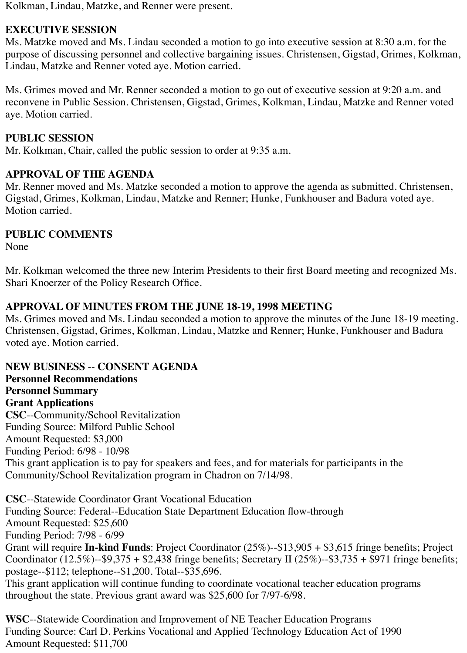Kolkman, Lindau, Matzke, and Renner were present.

## **EXECUTIVE SESSION**

Ms. Matzke moved and Ms. Lindau seconded a motion to go into executive session at 8:30 a.m. for the purpose of discussing personnel and collective bargaining issues. Christensen, Gigstad, Grimes, Kolkman, Lindau, Matzke and Renner voted aye. Motion carried.

Ms. Grimes moved and Mr. Renner seconded a motion to go out of executive session at 9:20 a.m. and reconvene in Public Session. Christensen, Gigstad, Grimes, Kolkman, Lindau, Matzke and Renner voted aye. Motion carried.

## **PUBLIC SESSION**

Mr. Kolkman, Chair, called the public session to order at 9:35 a.m.

## **APPROVAL OF THE AGENDA**

Mr. Renner moved and Ms. Matzke seconded a motion to approve the agenda as submitted. Christensen, Gigstad, Grimes, Kolkman, Lindau, Matzke and Renner; Hunke, Funkhouser and Badura voted aye. Motion carried.

## **PUBLIC COMMENTS**

None

Mr. Kolkman welcomed the three new Interim Presidents to their first Board meeting and recognized Ms. Shari Knoerzer of the Policy Research Office.

## **APPROVAL OF MINUTES FROM THE JUNE 18-19, 1998 MEETING**

Ms. Grimes moved and Ms. Lindau seconded a motion to approve the minutes of the June 18-19 meeting. Christensen, Gigstad, Grimes, Kolkman, Lindau, Matzke and Renner; Hunke, Funkhouser and Badura voted aye. Motion carried.

**NEW BUSINESS** -- **CONSENT AGENDA Personnel Recommendations Personnel Summary Grant Applications CSC**--Community/School Revitalization Funding Source: Milford Public School Amount Requested: \$3,000 Funding Period: 6/98 - 10/98 This grant application is to pay for speakers and fees, and for materials for participants in the Community/School Revitalization program in Chadron on 7/14/98.

**CSC**--Statewide Coordinator Grant Vocational Education Funding Source: Federal--Education State Department Education flow-through Amount Requested: \$25,600 Funding Period: 7/98 - 6/99 Grant will require **In-kind Funds**: Project Coordinator (25%)--\$13,905 + \$3,615 fringe benefits; Project Coordinator  $(12.5\%)$ -\$9,375 + \$2,438 fringe benefits; Secretary II (25%)--\$3,735 + \$971 fringe benefits; postage--\$112; telephone--\$1,200. Total--\$35,696. This grant application will continue funding to coordinate vocational teacher education programs throughout the state. Previous grant award was \$25,600 for 7/97-6/98.

**WSC**--Statewide Coordination and Improvement of NE Teacher Education Programs Funding Source: Carl D. Perkins Vocational and Applied Technology Education Act of 1990 Amount Requested: \$11,700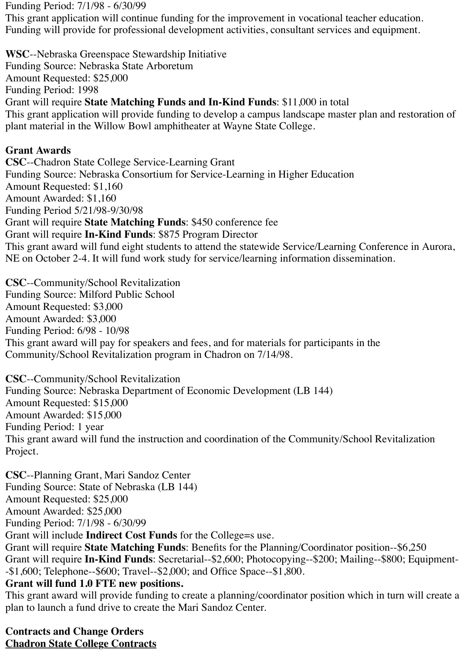Funding Period: 7/1/98 - 6/30/99

This grant application will continue funding for the improvement in vocational teacher education. Funding will provide for professional development activities, consultant services and equipment.

**WSC**--Nebraska Greenspace Stewardship Initiative Funding Source: Nebraska State Arboretum Amount Requested: \$25,000 Funding Period: 1998 Grant will require **State Matching Funds and In-Kind Funds**: \$11,000 in total This grant application will provide funding to develop a campus landscape master plan and restoration of plant material in the Willow Bowl amphitheater at Wayne State College.

## **Grant Awards**

**CSC**--Chadron State College Service-Learning Grant Funding Source: Nebraska Consortium for Service-Learning in Higher Education Amount Requested: \$1,160 Amount Awarded: \$1,160 Funding Period 5/21/98-9/30/98 Grant will require **State Matching Funds**: \$450 conference fee Grant will require **In-Kind Funds**: \$875 Program Director This grant award will fund eight students to attend the statewide Service/Learning Conference in Aurora, NE on October 2-4. It will fund work study for service/learning information dissemination.

**CSC**--Community/School Revitalization Funding Source: Milford Public School Amount Requested: \$3,000 Amount Awarded: \$3,000 Funding Period: 6/98 - 10/98 This grant award will pay for speakers and fees, and for materials for participants in the Community/School Revitalization program in Chadron on 7/14/98.

**CSC**--Community/School Revitalization Funding Source: Nebraska Department of Economic Development (LB 144) Amount Requested: \$15,000 Amount Awarded: \$15,000 Funding Period: 1 year This grant award will fund the instruction and coordination of the Community/School Revitalization Project.

**CSC**--Planning Grant, Mari Sandoz Center Funding Source: State of Nebraska (LB 144) Amount Requested: \$25,000 Amount Awarded: \$25,000 Funding Period: 7/1/98 - 6/30/99 Grant will include **Indirect Cost Funds** for the College=s use.

Grant will require **State Matching Funds**: Benefits for the Planning/Coordinator position--\$6,250 Grant will require **In-Kind Funds**: Secretarial--\$2,600; Photocopying--\$200; Mailing--\$800; Equipment- -\$1,600; Telephone--\$600; Travel--\$2,000; and Office Space--\$1,800.

## **Grant will fund 1.0 FTE new positions.**

This grant award will provide funding to create a planning/coordinator position which in turn will create a plan to launch a fund drive to create the Mari Sandoz Center.

**Contracts and Change Orders Chadron State College Contracts**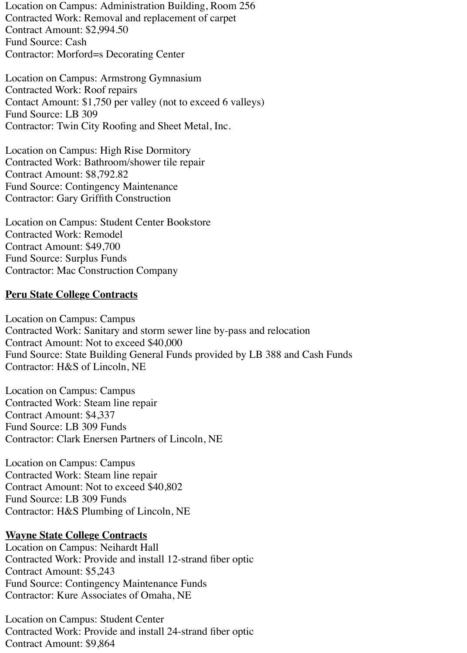Location on Campus: Administration Building, Room 256 Contracted Work: Removal and replacement of carpet Contract Amount: \$2,994.50 Fund Source: Cash Contractor: Morford=s Decorating Center

Location on Campus: Armstrong Gymnasium Contracted Work: Roof repairs Contact Amount: \$1,750 per valley (not to exceed 6 valleys) Fund Source: LB 309 Contractor: Twin City Roofing and Sheet Metal, Inc.

Location on Campus: High Rise Dormitory Contracted Work: Bathroom/shower tile repair Contract Amount: \$8,792.82 Fund Source: Contingency Maintenance Contractor: Gary Griffith Construction

Location on Campus: Student Center Bookstore Contracted Work: Remodel Contract Amount: \$49,700 Fund Source: Surplus Funds Contractor: Mac Construction Company

#### **Peru State College Contracts**

Location on Campus: Campus Contracted Work: Sanitary and storm sewer line by-pass and relocation Contract Amount: Not to exceed \$40,000 Fund Source: State Building General Funds provided by LB 388 and Cash Funds Contractor: H&S of Lincoln, NE

Location on Campus: Campus Contracted Work: Steam line repair Contract Amount: \$4,337 Fund Source: LB 309 Funds Contractor: Clark Enersen Partners of Lincoln, NE

Location on Campus: Campus Contracted Work: Steam line repair Contract Amount: Not to exceed \$40,802 Fund Source: LB 309 Funds Contractor: H&S Plumbing of Lincoln, NE

#### **Wayne State College Contracts**

Location on Campus: Neihardt Hall Contracted Work: Provide and install 12-strand fiber optic Contract Amount: \$5,243 Fund Source: Contingency Maintenance Funds Contractor: Kure Associates of Omaha, NE

Location on Campus: Student Center Contracted Work: Provide and install 24-strand fiber optic Contract Amount: \$9,864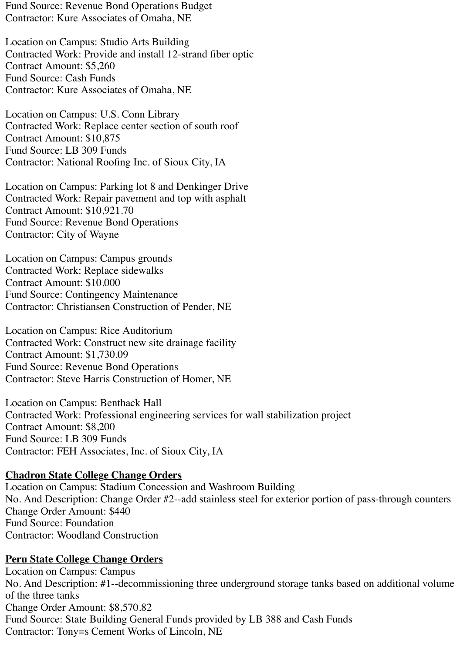Fund Source: Revenue Bond Operations Budget Contractor: Kure Associates of Omaha, NE

Location on Campus: Studio Arts Building Contracted Work: Provide and install 12-strand fiber optic Contract Amount: \$5,260 Fund Source: Cash Funds Contractor: Kure Associates of Omaha, NE

Location on Campus: U.S. Conn Library Contracted Work: Replace center section of south roof Contract Amount: \$10,875 Fund Source: LB 309 Funds Contractor: National Roofing Inc. of Sioux City, IA

Location on Campus: Parking lot 8 and Denkinger Drive Contracted Work: Repair pavement and top with asphalt Contract Amount: \$10,921.70 Fund Source: Revenue Bond Operations Contractor: City of Wayne

Location on Campus: Campus grounds Contracted Work: Replace sidewalks Contract Amount: \$10,000 Fund Source: Contingency Maintenance Contractor: Christiansen Construction of Pender, NE

Location on Campus: Rice Auditorium Contracted Work: Construct new site drainage facility Contract Amount: \$1,730.09 Fund Source: Revenue Bond Operations Contractor: Steve Harris Construction of Homer, NE

Location on Campus: Benthack Hall Contracted Work: Professional engineering services for wall stabilization project Contract Amount: \$8,200 Fund Source: LB 309 Funds Contractor: FEH Associates, Inc. of Sioux City, IA

#### **Chadron State College Change Orders**

Location on Campus: Stadium Concession and Washroom Building No. And Description: Change Order #2--add stainless steel for exterior portion of pass-through counters Change Order Amount: \$440 Fund Source: Foundation Contractor: Woodland Construction

## **Peru State College Change Orders**

Location on Campus: Campus No. And Description: #1--decommissioning three underground storage tanks based on additional volume of the three tanks Change Order Amount: \$8,570.82 Fund Source: State Building General Funds provided by LB 388 and Cash Funds Contractor: Tony=s Cement Works of Lincoln, NE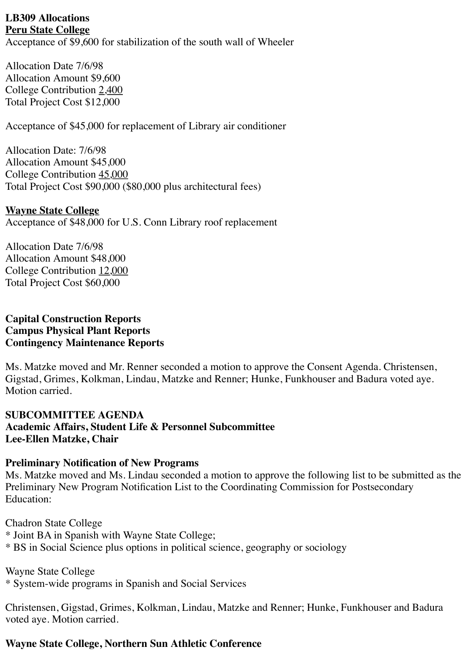#### **LB309 Allocations Peru State College**

Acceptance of \$9,600 for stabilization of the south wall of Wheeler

Allocation Date 7/6/98 Allocation Amount \$9,600 College Contribution 2,400 Total Project Cost \$12,000

Acceptance of \$45,000 for replacement of Library air conditioner

Allocation Date: 7/6/98 Allocation Amount \$45,000 College Contribution 45,000 Total Project Cost \$90,000 (\$80,000 plus architectural fees)

## **Wayne State College**

Acceptance of \$48,000 for U.S. Conn Library roof replacement

Allocation Date 7/6/98 Allocation Amount \$48,000 College Contribution 12,000 Total Project Cost \$60,000

#### **Capital Construction Reports Campus Physical Plant Reports Contingency Maintenance Reports**

Ms. Matzke moved and Mr. Renner seconded a motion to approve the Consent Agenda. Christensen, Gigstad, Grimes, Kolkman, Lindau, Matzke and Renner; Hunke, Funkhouser and Badura voted aye. Motion carried.

## **SUBCOMMITTEE AGENDA Academic Affairs, Student Life & Personnel Subcommittee Lee-Ellen Matzke, Chair**

## **Preliminary Notification of New Programs**

Ms. Matzke moved and Ms. Lindau seconded a motion to approve the following list to be submitted as the Preliminary New Program Notification List to the Coordinating Commission for Postsecondary Education:

Chadron State College \* Joint BA in Spanish with Wayne State College; \* BS in Social Science plus options in political science, geography or sociology

Wayne State College \* System-wide programs in Spanish and Social Services

Christensen, Gigstad, Grimes, Kolkman, Lindau, Matzke and Renner; Hunke, Funkhouser and Badura voted aye. Motion carried.

## **Wayne State College, Northern Sun Athletic Conference**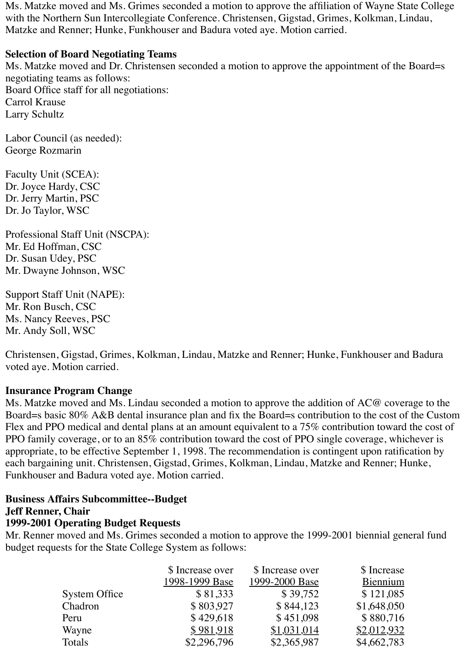Ms. Matzke moved and Ms. Grimes seconded a motion to approve the affiliation of Wayne State College with the Northern Sun Intercollegiate Conference. Christensen, Gigstad, Grimes, Kolkman, Lindau, Matzke and Renner; Hunke, Funkhouser and Badura voted aye. Motion carried.

### **Selection of Board Negotiating Teams**

Ms. Matzke moved and Dr. Christensen seconded a motion to approve the appointment of the Board=s negotiating teams as follows: Board Office staff for all negotiations: Carrol Krause Larry Schultz

Labor Council (as needed): George Rozmarin

Faculty Unit (SCEA): Dr. Joyce Hardy, CSC Dr. Jerry Martin, PSC Dr. Jo Taylor, WSC

Professional Staff Unit (NSCPA): Mr. Ed Hoffman, CSC Dr. Susan Udey, PSC Mr. Dwayne Johnson, WSC

Support Staff Unit (NAPE): Mr. Ron Busch, CSC Ms. Nancy Reeves, PSC Mr. Andy Soll, WSC

Christensen, Gigstad, Grimes, Kolkman, Lindau, Matzke and Renner; Hunke, Funkhouser and Badura voted aye. Motion carried.

#### **Insurance Program Change**

Ms. Matzke moved and Ms. Lindau seconded a motion to approve the addition of AC@ coverage to the Board=s basic 80% A&B dental insurance plan and fix the Board=s contribution to the cost of the Custom Flex and PPO medical and dental plans at an amount equivalent to a 75% contribution toward the cost of PPO family coverage, or to an 85% contribution toward the cost of PPO single coverage, whichever is appropriate, to be effective September 1, 1998. The recommendation is contingent upon ratification by each bargaining unit. Christensen, Gigstad, Grimes, Kolkman, Lindau, Matzke and Renner; Hunke, Funkhouser and Badura voted aye. Motion carried.

#### **Business Affairs Subcommittee--Budget**

#### **Jeff Renner, Chair**

## **1999-2001 Operating Budget Requests**

Mr. Renner moved and Ms. Grimes seconded a motion to approve the 1999-2001 biennial general fund budget requests for the State College System as follows:

|                      | \$ Increase over | \$ Increase over | \$ Increase |
|----------------------|------------------|------------------|-------------|
|                      | 1998-1999 Base   | 1999-2000 Base   | Biennium    |
| <b>System Office</b> | \$81,333         | \$39,752         | \$121,085   |
| Chadron              | \$803,927        | \$844,123        | \$1,648,050 |
| Peru                 | \$429,618        | \$451,098        | \$880,716   |
| Wayne                | \$981,918        | \$1,031,014      | \$2,012,932 |
| Totals               | \$2,296,796      | \$2,365,987      | \$4,662,783 |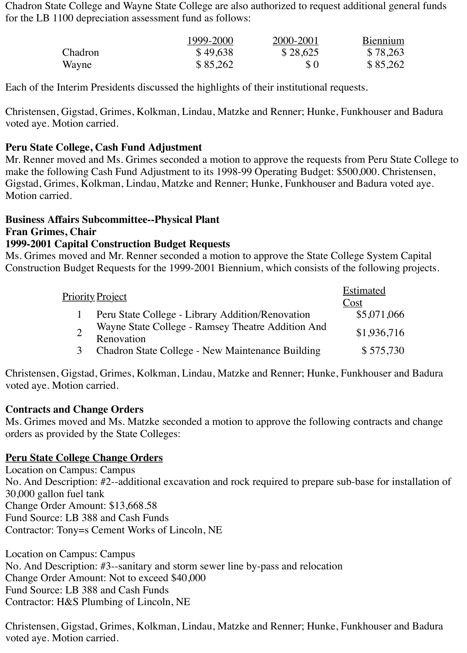Chadron State College and Wayne State College are also authorized to request additional general funds for the LB 1100 depreciation assessment fund as follows:

|         | 1999-2000 | 2000-2001 | Biennium |
|---------|-----------|-----------|----------|
| Chadron | \$49,638  | \$28,625  | \$78,263 |
| Wayne   | \$85,262  | $\Omega$  | \$85,262 |

Each of the Interim Presidents discussed the highlights of their institutional requests.

Christensen, Gigstad, Grimes, Kolkman, Lindau, Matzke and Renner; Hunke, Funkhouser and Badura voted aye. Motion carried.

## **Peru State College, Cash Fund Adjustment**

Mr. Renner moved and Ms. Grimes seconded a motion to approve the requests from Peru State College to make the following Cash Fund Adjustment to its 1998-99 Operating Budget: \$500,000. Christensen, Gigstad, Grimes, Kolkman, Lindau, Matzke and Renner; Hunke, Funkhouser and Badura voted aye. Motion carried.

# **Business Affairs Subcommittee--Physical Plant Fran Grimes, Chair**

## **1999-2001 Capital Construction Budget Requests**

Ms. Grimes moved and Mr. Renner seconded a motion to approve the State College System Capital Construction Budget Requests for the 1999-2001 Biennium, which consists of the following projects.

|   | <u> Priority Project</u>                                        | <b>Estimated</b><br>Cost |
|---|-----------------------------------------------------------------|--------------------------|
|   | Peru State College - Library Addition/Renovation                | \$5,071,066              |
|   | Wayne State College - Ramsey Theatre Addition And<br>Renovation | \$1,936,716              |
| 3 | Chadron State College - New Maintenance Building                | \$575,730                |

Christensen, Gigstad, Grimes, Kolkman, Lindau, Matzke and Renner; Hunke, Funkhouser and Badura voted aye. Motion carried.

## **Contracts and Change Orders**

Ms. Grimes moved and Ms. Matzke seconded a motion to approve the following contracts and change orders as provided by the State Colleges:

## **Peru State College Change Orders**

Location on Campus: Campus No. And Description: #2--additional excavation and rock required to prepare sub-base for installation of 30,000 gallon fuel tank Change Order Amount: \$13,668.58 Fund Source: LB 388 and Cash Funds Contractor: Tony=s Cement Works of Lincoln, NE

Location on Campus: Campus No. And Description: #3--sanitary and storm sewer line by-pass and relocation Change Order Amount: Not to exceed \$40,000 Fund Source: LB 388 and Cash Funds Contractor: H&S Plumbing of Lincoln, NE

Christensen, Gigstad, Grimes, Kolkman, Lindau, Matzke and Renner; Hunke, Funkhouser and Badura voted aye. Motion carried.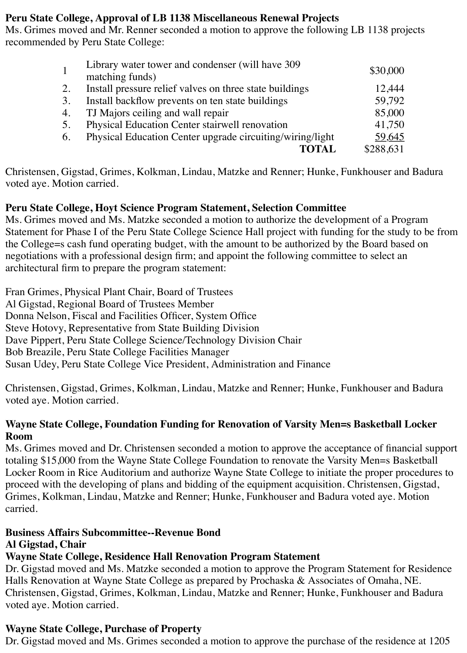## **Peru State College, Approval of LB 1138 Miscellaneous Renewal Projects**

Ms. Grimes moved and Mr. Renner seconded a motion to approve the following LB 1138 projects recommended by Peru State College:

|    | Library water tower and condenser (will have 309<br>matching funds) | \$30,000  |
|----|---------------------------------------------------------------------|-----------|
|    |                                                                     |           |
|    | Install pressure relief valves on three state buildings             | 12,444    |
| 3. | Install backflow prevents on ten state buildings                    | 59,792    |
| 4. | TJ Majors ceiling and wall repair                                   | 85,000    |
| 5. | Physical Education Center stairwell renovation                      | 41,750    |
| 6. | Physical Education Center upgrade circuiting/wiring/light           | 59,645    |
|    | <b>TOTAL</b>                                                        | \$288,631 |

Christensen, Gigstad, Grimes, Kolkman, Lindau, Matzke and Renner; Hunke, Funkhouser and Badura voted aye. Motion carried.

## **Peru State College, Hoyt Science Program Statement, Selection Committee**

Ms. Grimes moved and Ms. Matzke seconded a motion to authorize the development of a Program Statement for Phase I of the Peru State College Science Hall project with funding for the study to be from the College=s cash fund operating budget, with the amount to be authorized by the Board based on negotiations with a professional design firm; and appoint the following committee to select an architectural firm to prepare the program statement:

Fran Grimes, Physical Plant Chair, Board of Trustees Al Gigstad, Regional Board of Trustees Member Donna Nelson, Fiscal and Facilities Officer, System Office Steve Hotovy, Representative from State Building Division Dave Pippert, Peru State College Science/Technology Division Chair Bob Breazile, Peru State College Facilities Manager Susan Udey, Peru State College Vice President, Administration and Finance

Christensen, Gigstad, Grimes, Kolkman, Lindau, Matzke and Renner; Hunke, Funkhouser and Badura voted aye. Motion carried.

#### **Wayne State College, Foundation Funding for Renovation of Varsity Men=s Basketball Locker Room**

Ms. Grimes moved and Dr. Christensen seconded a motion to approve the acceptance of financial support totaling \$15,000 from the Wayne State College Foundation to renovate the Varsity Men=s Basketball Locker Room in Rice Auditorium and authorize Wayne State College to initiate the proper procedures to proceed with the developing of plans and bidding of the equipment acquisition. Christensen, Gigstad, Grimes, Kolkman, Lindau, Matzke and Renner; Hunke, Funkhouser and Badura voted aye. Motion carried.

# **Business Affairs Subcommittee--Revenue Bond**

#### **Al Gigstad, Chair**

## **Wayne State College, Residence Hall Renovation Program Statement**

Dr. Gigstad moved and Ms. Matzke seconded a motion to approve the Program Statement for Residence Halls Renovation at Wayne State College as prepared by Prochaska & Associates of Omaha, NE. Christensen, Gigstad, Grimes, Kolkman, Lindau, Matzke and Renner; Hunke, Funkhouser and Badura voted aye. Motion carried.

# **Wayne State College, Purchase of Property**

Dr. Gigstad moved and Ms. Grimes seconded a motion to approve the purchase of the residence at 1205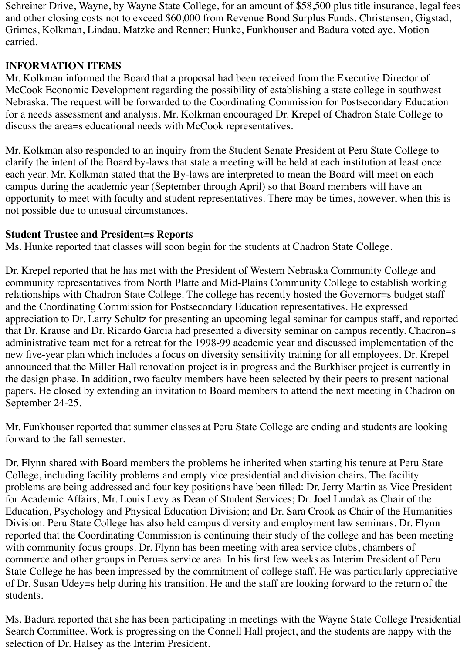Schreiner Drive, Wayne, by Wayne State College, for an amount of \$58,500 plus title insurance, legal fees and other closing costs not to exceed \$60,000 from Revenue Bond Surplus Funds. Christensen, Gigstad, Grimes, Kolkman, Lindau, Matzke and Renner; Hunke, Funkhouser and Badura voted aye. Motion carried.

## **INFORMATION ITEMS**

Mr. Kolkman informed the Board that a proposal had been received from the Executive Director of McCook Economic Development regarding the possibility of establishing a state college in southwest Nebraska. The request will be forwarded to the Coordinating Commission for Postsecondary Education for a needs assessment and analysis. Mr. Kolkman encouraged Dr. Krepel of Chadron State College to discuss the area=s educational needs with McCook representatives.

Mr. Kolkman also responded to an inquiry from the Student Senate President at Peru State College to clarify the intent of the Board by-laws that state a meeting will be held at each institution at least once each year. Mr. Kolkman stated that the By-laws are interpreted to mean the Board will meet on each campus during the academic year (September through April) so that Board members will have an opportunity to meet with faculty and student representatives. There may be times, however, when this is not possible due to unusual circumstances.

## **Student Trustee and President=s Reports**

Ms. Hunke reported that classes will soon begin for the students at Chadron State College.

Dr. Krepel reported that he has met with the President of Western Nebraska Community College and community representatives from North Platte and Mid-Plains Community College to establish working relationships with Chadron State College. The college has recently hosted the Governor=s budget staff and the Coordinating Commission for Postsecondary Education representatives. He expressed appreciation to Dr. Larry Schultz for presenting an upcoming legal seminar for campus staff, and reported that Dr. Krause and Dr. Ricardo Garcia had presented a diversity seminar on campus recently. Chadron=s administrative team met for a retreat for the 1998-99 academic year and discussed implementation of the new five-year plan which includes a focus on diversity sensitivity training for all employees. Dr. Krepel announced that the Miller Hall renovation project is in progress and the Burkhiser project is currently in the design phase. In addition, two faculty members have been selected by their peers to present national papers. He closed by extending an invitation to Board members to attend the next meeting in Chadron on September 24-25.

Mr. Funkhouser reported that summer classes at Peru State College are ending and students are looking forward to the fall semester.

Dr. Flynn shared with Board members the problems he inherited when starting his tenure at Peru State College, including facility problems and empty vice presidential and division chairs. The facility problems are being addressed and four key positions have been filled: Dr. Jerry Martin as Vice President for Academic Affairs; Mr. Louis Levy as Dean of Student Services; Dr. Joel Lundak as Chair of the Education, Psychology and Physical Education Division; and Dr. Sara Crook as Chair of the Humanities Division. Peru State College has also held campus diversity and employment law seminars. Dr. Flynn reported that the Coordinating Commission is continuing their study of the college and has been meeting with community focus groups. Dr. Flynn has been meeting with area service clubs, chambers of commerce and other groups in Peru=s service area. In his first few weeks as Interim President of Peru State College he has been impressed by the commitment of college staff. He was particularly appreciative of Dr. Susan Udey=s help during his transition. He and the staff are looking forward to the return of the students.

Ms. Badura reported that she has been participating in meetings with the Wayne State College Presidential Search Committee. Work is progressing on the Connell Hall project, and the students are happy with the selection of Dr. Halsey as the Interim President.